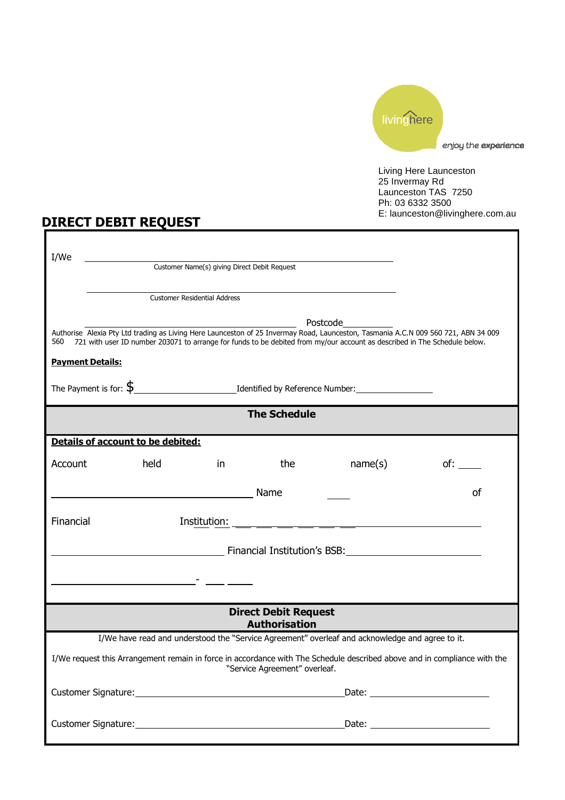

Living Here Launceston 25 Invermay Rd Launceston TAS 7250 Ph: 03 6332 3500 E: launceston@livinghere.com.au

## DIRECT DEBIT REQUEST

| I/We                                                                                                                                                                                                                                                                   |      |    |     |          |     |
|------------------------------------------------------------------------------------------------------------------------------------------------------------------------------------------------------------------------------------------------------------------------|------|----|-----|----------|-----|
| Customer Name(s) giving Direct Debit Request                                                                                                                                                                                                                           |      |    |     |          |     |
| <b>Customer Residential Address</b>                                                                                                                                                                                                                                    |      |    |     |          |     |
|                                                                                                                                                                                                                                                                        |      |    |     | Postcode |     |
| Authorise Alexia Pty Ltd trading as Living Here Launceston of 25 Invermay Road, Launceston, Tasmania A.C.N 009 560 721, ABN 34 009<br>721 with user ID number 203071 to arrange for funds to be debited from my/our account as described in The Schedule below.<br>560 |      |    |     |          |     |
| <b>Payment Details:</b>                                                                                                                                                                                                                                                |      |    |     |          |     |
|                                                                                                                                                                                                                                                                        |      |    |     |          |     |
| <b>The Schedule</b>                                                                                                                                                                                                                                                    |      |    |     |          |     |
| Details of account to be debited:                                                                                                                                                                                                                                      |      |    |     |          |     |
| Account                                                                                                                                                                                                                                                                | held | in | the | name(s)  | of: |
| <sub>of</sub><br>Name<br><u> 1980 - Johann Barbara, martin d</u>                                                                                                                                                                                                       |      |    |     |          |     |
| Financial                                                                                                                                                                                                                                                              |      |    |     |          |     |
| <u>Notational Communication</u> Financial Institution's BSB:                                                                                                                                                                                                           |      |    |     |          |     |
|                                                                                                                                                                                                                                                                        |      |    |     |          |     |
|                                                                                                                                                                                                                                                                        |      |    |     |          |     |
| <b>Direct Debit Request</b><br><b>Authorisation</b>                                                                                                                                                                                                                    |      |    |     |          |     |
| I/We have read and understood the "Service Agreement" overleaf and acknowledge and agree to it.                                                                                                                                                                        |      |    |     |          |     |
| I/We request this Arrangement remain in force in accordance with The Schedule described above and in compliance with the<br>"Service Agreement" overleaf.                                                                                                              |      |    |     |          |     |
|                                                                                                                                                                                                                                                                        |      |    |     |          |     |
|                                                                                                                                                                                                                                                                        |      |    |     |          |     |